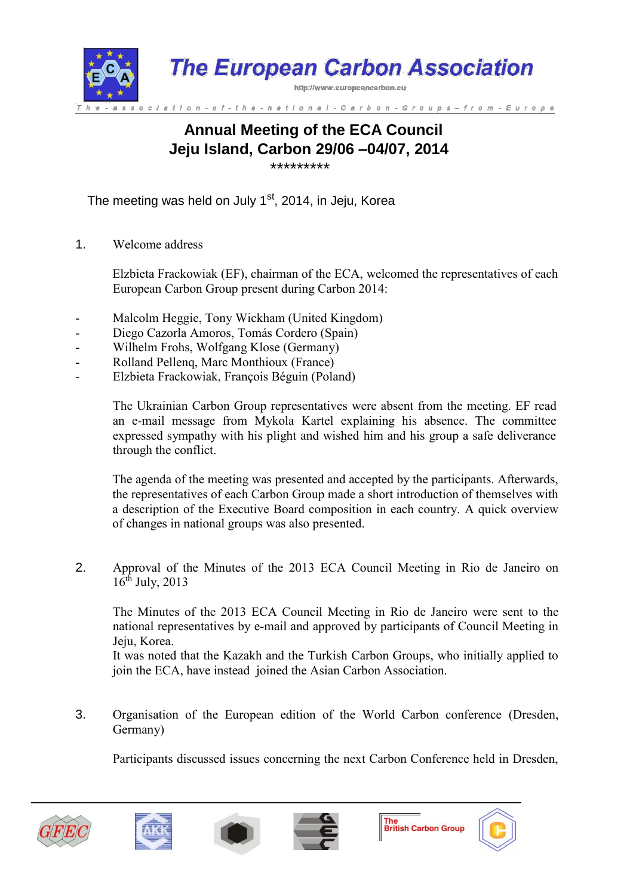

## **Annual Meeting of the ECA Council Jeju Island, Carbon 29/06 –04/07, 2014** \*\*\*\*\*\*\*\*\*

The meeting was held on July 1<sup>st</sup>, 2014, in Jeju, Korea

1. Welcome address

Elzbieta Frackowiak (EF), chairman of the ECA, welcomed the representatives of each European Carbon Group present during Carbon 2014:

- Malcolm Heggie, Tony Wickham (United Kingdom)
- Diego Cazorla Amoros, Tomás Cordero (Spain)
- Wilhelm Frohs, Wolfgang Klose (Germany)
- Rolland Pellenq, Marc Monthioux (France)
- Elzbieta Frackowiak, François Béguin (Poland)

The Ukrainian Carbon Group representatives were absent from the meeting. EF read an e-mail message from Mykola Kartel explaining his absence. The committee expressed sympathy with his plight and wished him and his group a safe deliverance through the conflict.

The agenda of the meeting was presented and accepted by the participants. Afterwards, the representatives of each Carbon Group made a short introduction of themselves with a description of the Executive Board composition in each country. A quick overview of changes in national groups was also presented.

2. Approval of the Minutes of the 2013 ECA Council Meeting in Rio de Janeiro on  $16^{th}$  July, 2013

The Minutes of the 2013 ECA Council Meeting in Rio de Janeiro were sent to the national representatives by e-mail and approved by participants of Council Meeting in Jeju, Korea.

It was noted that the Kazakh and the Turkish Carbon Groups, who initially applied to join the ECA, have instead joined the Asian Carbon Association.

3. Organisation of the European edition of the World Carbon conference (Dresden, Germany)

Participants discussed issues concerning the next Carbon Conference held in Dresden,







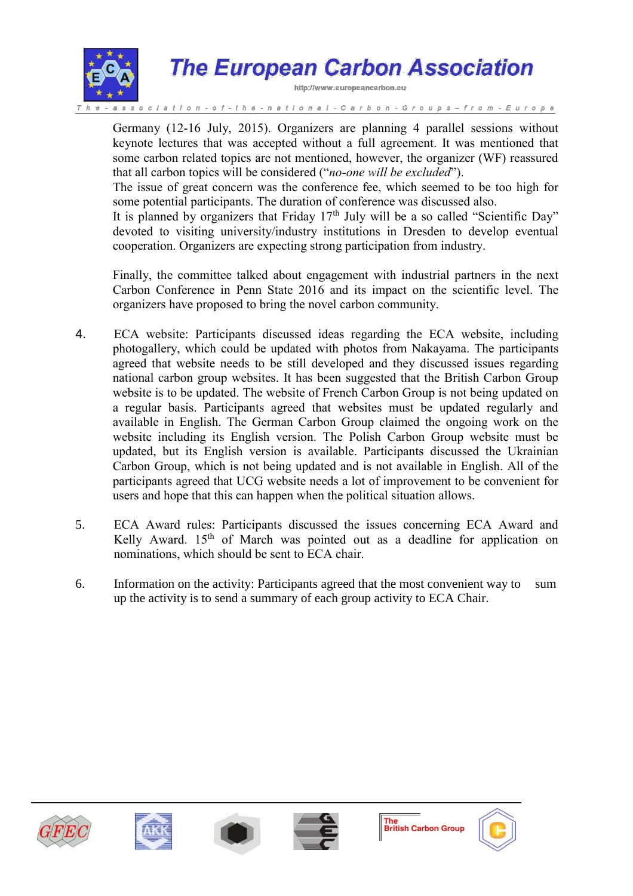

# **The European Carbon Association**

http://www.europeancarbon.eu

national-Carbon-Groups

Germany (12-16 July, 2015). Organizers are planning 4 parallel sessions without keynote lectures that was accepted without a full agreement. It was mentioned that some carbon related topics are not mentioned, however, the organizer (WF) reassured that all carbon topics will be considered ("*no-one will be excluded*").

The issue of great concern was the conference fee, which seemed to be too high for some potential participants. The duration of conference was discussed also.

It is planned by organizers that Friday  $17<sup>th</sup>$  July will be a so called "Scientific Day" devoted to visiting university/industry institutions in Dresden to develop eventual cooperation. Organizers are expecting strong participation from industry.

Finally, the committee talked about engagement with industrial partners in the next Carbon Conference in Penn State 2016 and its impact on the scientific level. The organizers have proposed to bring the novel carbon community.

- 4. ECA website: Participants discussed ideas regarding the ECA website, including photogallery, which could be updated with photos from Nakayama. The participants agreed that website needs to be still developed and they discussed issues regarding national carbon group websites. It has been suggested that the British Carbon Group website is to be updated. The website of French Carbon Group is not being updated on a regular basis. Participants agreed that websites must be updated regularly and available in English. The German Carbon Group claimed the ongoing work on the website including its English version. The Polish Carbon Group website must be updated, but its English version is available. Participants discussed the Ukrainian Carbon Group, which is not being updated and is not available in English. All of the participants agreed that UCG website needs a lot of improvement to be convenient for users and hope that this can happen when the political situation allows.
- 5. ECA Award rules: Participants discussed the issues concerning ECA Award and Kelly Award. 15<sup>th</sup> of March was pointed out as a deadline for application on nominations, which should be sent to ECA chair.
- 6. Information on the activity: Participants agreed that the most convenient way to sum up the activity is to send a summary of each group activity to ECA Chair.









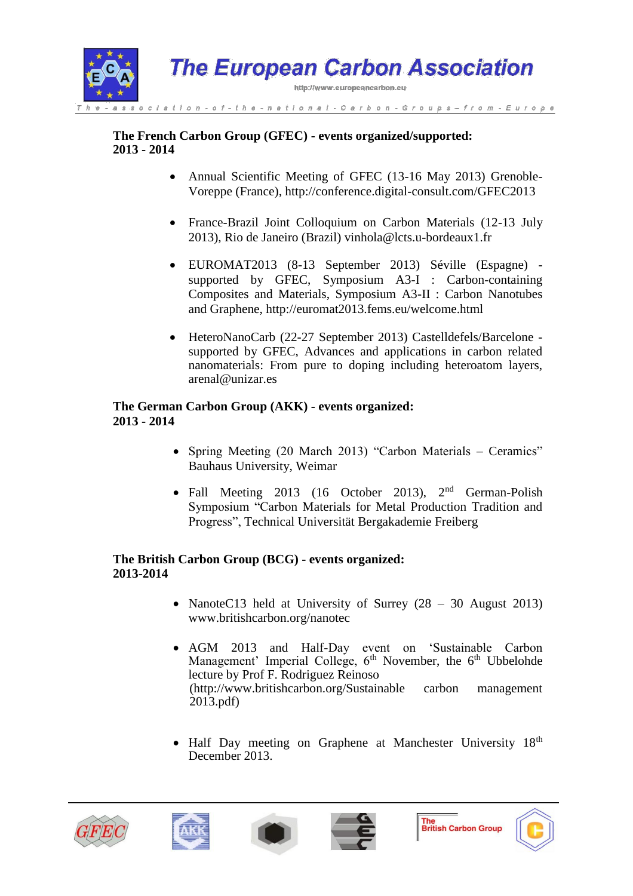

#### **The French Carbon Group (GFEC) - events organized/supported: 2013 - 2014**

- Annual Scientific Meeting of GFEC (13-16 May 2013) Grenoble-Voreppe (France), http://conference.digital-consult.com/GFEC2013
- France-Brazil Joint Colloquium on Carbon Materials (12-13 July 2013), Rio de Janeiro (Brazil) vinhola@lcts.u-bordeaux1.fr
- EUROMAT2013 (8-13 September 2013) Séville (Espagne) supported by GFEC, Symposium A3-I : Carbon-containing Composites and Materials, Symposium A3-II : Carbon Nanotubes and Graphene, http://euromat2013.fems.eu/welcome.html
- HeteroNanoCarb (22-27 September 2013) Castelldefels/Barcelone supported by GFEC, Advances and applications in carbon related nanomaterials: From pure to doping including heteroatom layers, arenal@unizar.es

#### **The German Carbon Group (AKK) - events organized: 2013 - 2014**

- Spring Meeting (20 March 2013) "Carbon Materials Ceramics" Bauhaus University, Weimar
- Fall Meeting 2013 (16 October 2013),  $2<sup>nd</sup>$  German-Polish Symposium "Carbon Materials for Metal Production Tradition and Progress", Technical Universität Bergakademie Freiberg

#### **The British Carbon Group (BCG) - events organized: 2013-2014**

- NanoteC13 held at University of Surrey (28 30 August 2013) www.britishcarbon.org/nanotec
- AGM 2013 and Half-Day event on 'Sustainable Carbon Management' Imperial College, 6<sup>th</sup> November, the 6<sup>th</sup> Ubbelohde lecture by Prof F. Rodriguez Reinoso (http://www.britishcarbon.org/Sustainable carbon management 2013.pdf)
- Half Day meeting on Graphene at Manchester University 18<sup>th</sup> December 2013.









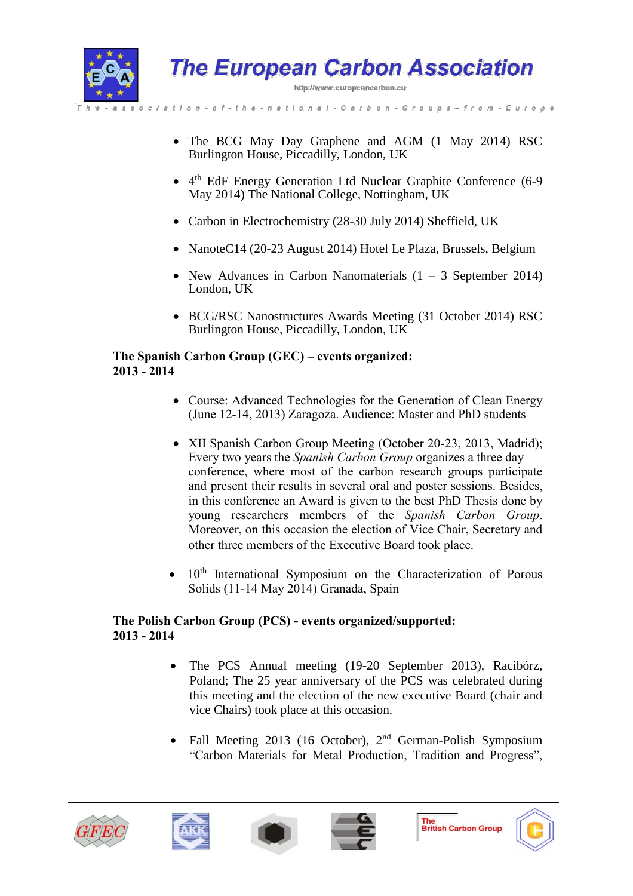

- The BCG May Day Graphene and AGM (1 May 2014) RSC Burlington House, Piccadilly, London, UK
- 4 th EdF Energy Generation Ltd Nuclear Graphite Conference (6-9 May 2014) The National College, Nottingham, UK
- Carbon in Electrochemistry (28-30 July 2014) Sheffield, UK
- NanoteC14 (20-23 August 2014) Hotel Le Plaza, Brussels, Belgium
- New Advances in Carbon Nanomaterials  $(1 3$  September 2014) London, UK
- BCG/RSC Nanostructures Awards Meeting (31 October 2014) RSC Burlington House, Piccadilly, London, UK

#### **The Spanish Carbon Group (GEC) – events organized: 2013 - 2014**

- Course: Advanced Technologies for the Generation of Clean Energy (June 12-14, 2013) Zaragoza. Audience: Master and PhD students
- XII Spanish Carbon Group Meeting (October 20-23, 2013, Madrid); Every two years the *Spanish Carbon Group* organizes a three day conference, where most of the carbon research groups participate and present their results in several oral and poster sessions. Besides, in this conference an Award is given to the best PhD Thesis done by young researchers members of the *Spanish Carbon Group*. Moreover, on this occasion the election of Vice Chair, Secretary and other three members of the Executive Board took place.
- 10<sup>th</sup> International Symposium on the Characterization of Porous Solids (11-14 May 2014) Granada, Spain

#### **The Polish Carbon Group (PCS) - events organized/supported: 2013 - 2014**

- The PCS Annual meeting (19-20 September 2013), Racibórz, Poland; The 25 year anniversary of the PCS was celebrated during this meeting and the election of the new executive Board (chair and vice Chairs) took place at this occasion.
- Fall Meeting 2013 (16 October), 2<sup>nd</sup> German-Polish Symposium "Carbon Materials for Metal Production, Tradition and Progress",